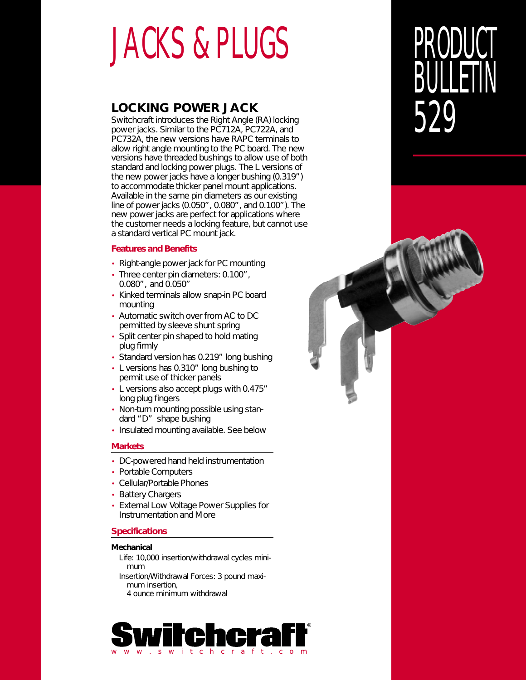# JACKS & PLUGS

### **LOCKING POWER JACK**

Switchcraft introduces the Right Angle (RA) locking power jacks. Similar to the PC712A, PC722A, and PC732A, the new versions have RAPC terminals to allow right angle mounting to the PC board. The new versions have threaded bushings to allow use of both standard and locking power plugs. The L versions of the new power jacks have a longer bushing (0.319") to accommodate thicker panel mount applications. Available in the same pin diameters as our existing line of power jacks (0.050", 0.080", and 0.100"). The new power jacks are perfect for applications where the customer needs a locking feature, but cannot use a standard vertical PC mount jack.

### **Features and Benefits**

- Right-angle power jack for PC mounting
- Three center pin diameters: 0.100", 0.080", and 0.050"
- Kinked terminals allow snap-in PC board mounting
- Automatic switch over from AC to DC permitted by sleeve shunt spring
- Split center pin shaped to hold mating plug firmly
- Standard version has 0.219" long bushing
- L versions has 0.310" long bushing to permit use of thicker panels
- L versions also accept plugs with 0.475" long plug fingers
- Non-turn mounting possible using standard "D" shape bushing
- Insulated mounting available. See below

### **Markets**

- DC-powered hand held instrumentation
- Portable Computers
- Cellular/Portable Phones
- Battery Chargers
- External Low Voltage Power Supplies for Instrumentation and More

### **Specifications**

### **Mechanical**

Life: 10,000 insertion/withdrawal cycles minimum Insertion/Withdrawal Forces: 3 pound maximum insertion, 4 ounce minimum withdrawal

it ch c r a f t .

# PRODUCT **BULLETIN** 529